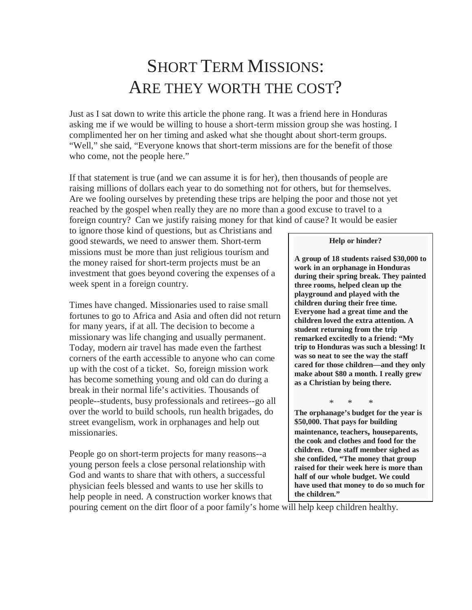# SHORT TERM MISSIONS: ARE THEY WORTH THE COST?

Just as I sat down to write this article the phone rang. It was a friend here in Honduras asking me if we would be willing to house a short-term mission group she was hosting. I complimented her on her timing and asked what she thought about short-term groups. "Well," she said, "Everyone knows that short-term missions are for the benefit of those who come, not the people here."

If that statement is true (and we can assume it is for her), then thousands of people are raising millions of dollars each year to do something not for others, but for themselves. Are we fooling ourselves by pretending these trips are helping the poor and those not yet reached by the gospel when really they are no more than a good excuse to travel to a foreign country? Can we justify raising money for that kind of cause? It would be easier

to ignore those kind of questions, but as Christians and good stewards, we need to answer them. Short-term missions must be more than just religious tourism and the money raised for short-term projects must be an investment that goes beyond covering the expenses of a week spent in a foreign country.

Times have changed. Missionaries used to raise small fortunes to go to Africa and Asia and often did not return for many years, if at all. The decision to become a missionary was life changing and usually permanent. Today, modern air travel has made even the farthest corners of the earth accessible to anyone who can come up with the cost of a ticket. So, foreign mission work has become something young and old can do during a break in their normal life's activities. Thousands of people--students, busy professionals and retirees--go all over the world to build schools, run health brigades, do street evangelism, work in orphanages and help out missionaries.

People go on short-term projects for many reasons--a young person feels a close personal relationship with God and wants to share that with others, a successful physician feels blessed and wants to use her skills to help people in need. A construction worker knows that

#### **Help or hinder?**

**A group of 18 students raised \$30,000 to work in an orphanage in Honduras during their spring break. They painted three rooms, helped clean up the playground and played with the children during their free time. Everyone had a great time and the children loved the extra attention. A student returning from the trip remarked excitedly to a friend: "My trip to Honduras was such a blessing! It was so neat to see the way the staff cared for those children—and they only make about \$80 a month. I really grew as a Christian by being there.** 

\* \* \* **The orphanage's budget for the year is \$50,000. That pays for building maintenance, teachers, houseparents, the cook and clothes and food for the children. One staff member sighed as she confided, "The money that group raised for their week here is more than half of our whole budget. We could have used that money to do so much for the children."**

pouring cement on the dirt floor of a poor family's home will help keep children healthy.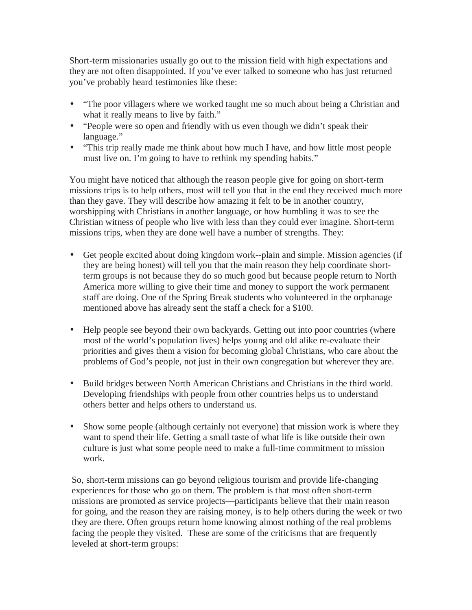Short-term missionaries usually go out to the mission field with high expectations and they are not often disappointed. If you've ever talked to someone who has just returned you've probably heard testimonies like these:

- "The poor villagers where we worked taught me so much about being a Christian and what it really means to live by faith."
- "People were so open and friendly with us even though we didn't speak their language."
- "This trip really made me think about how much I have, and how little most people must live on. I'm going to have to rethink my spending habits."

You might have noticed that although the reason people give for going on short-term missions trips is to help others, most will tell you that in the end they received much more than they gave. They will describe how amazing it felt to be in another country, worshipping with Christians in another language, or how humbling it was to see the Christian witness of people who live with less than they could ever imagine. Short-term missions trips, when they are done well have a number of strengths. They:

- Get people excited about doing kingdom work--plain and simple. Mission agencies (if they are being honest) will tell you that the main reason they help coordinate shortterm groups is not because they do so much good but because people return to North America more willing to give their time and money to support the work permanent staff are doing. One of the Spring Break students who volunteered in the orphanage mentioned above has already sent the staff a check for a \$100.
- Help people see beyond their own backyards. Getting out into poor countries (where most of the world's population lives) helps young and old alike re-evaluate their priorities and gives them a vision for becoming global Christians, who care about the problems of God's people, not just in their own congregation but wherever they are.
- Build bridges between North American Christians and Christians in the third world. Developing friendships with people from other countries helps us to understand others better and helps others to understand us.
- Show some people (although certainly not everyone) that mission work is where they want to spend their life. Getting a small taste of what life is like outside their own culture is just what some people need to make a full-time commitment to mission work.

So, short-term missions can go beyond religious tourism and provide life-changing experiences for those who go on them. The problem is that most often short-term missions are promoted as service projects—participants believe that their main reason for going, and the reason they are raising money, is to help others during the week or two they are there. Often groups return home knowing almost nothing of the real problems facing the people they visited. These are some of the criticisms that are frequently leveled at short-term groups: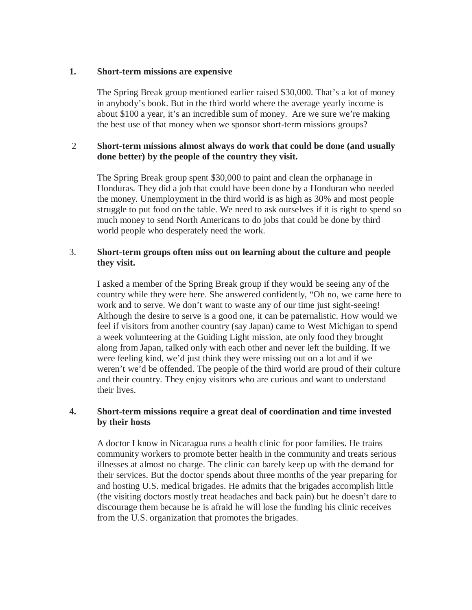#### **1. Short-term missions are expensive**

The Spring Break group mentioned earlier raised \$30,000. That's a lot of money in anybody's book. But in the third world where the average yearly income is about \$100 a year, it's an incredible sum of money. Are we sure we're making the best use of that money when we sponsor short-term missions groups?

## 2 **Short-term missions almost always do work that could be done (and usually done better) by the people of the country they visit.**

The Spring Break group spent \$30,000 to paint and clean the orphanage in Honduras. They did a job that could have been done by a Honduran who needed the money. Unemployment in the third world is as high as 30% and most people struggle to put food on the table. We need to ask ourselves if it is right to spend so much money to send North Americans to do jobs that could be done by third world people who desperately need the work.

### 3. **Short-term groups often miss out on learning about the culture and people they visit.**

I asked a member of the Spring Break group if they would be seeing any of the country while they were here. She answered confidently, "Oh no, we came here to work and to serve. We don't want to waste any of our time just sight-seeing! Although the desire to serve is a good one, it can be paternalistic. How would we feel if visitors from another country (say Japan) came to West Michigan to spend a week volunteering at the Guiding Light mission, ate only food they brought along from Japan, talked only with each other and never left the building. If we were feeling kind, we'd just think they were missing out on a lot and if we weren't we'd be offended. The people of the third world are proud of their culture and their country. They enjoy visitors who are curious and want to understand their lives.

#### **4. Short-term missions require a great deal of coordination and time invested by their hosts**

A doctor I know in Nicaragua runs a health clinic for poor families. He trains community workers to promote better health in the community and treats serious illnesses at almost no charge. The clinic can barely keep up with the demand for their services. But the doctor spends about three months of the year preparing for and hosting U.S. medical brigades. He admits that the brigades accomplish little (the visiting doctors mostly treat headaches and back pain) but he doesn't dare to discourage them because he is afraid he will lose the funding his clinic receives from the U.S. organization that promotes the brigades.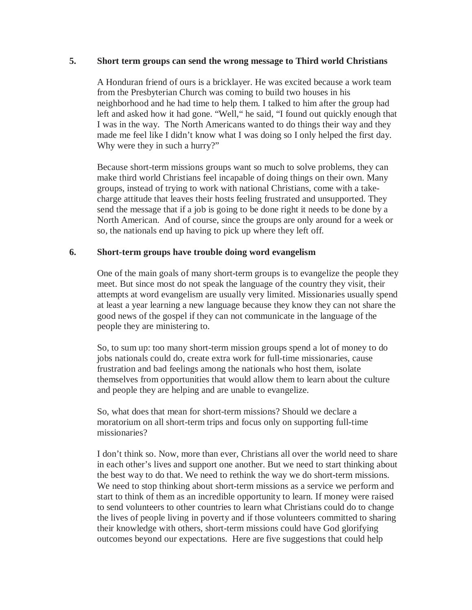#### **5. Short term groups can send the wrong message to Third world Christians**

A Honduran friend of ours is a bricklayer. He was excited because a work team from the Presbyterian Church was coming to build two houses in his neighborhood and he had time to help them. I talked to him after the group had left and asked how it had gone. "Well," he said, "I found out quickly enough that I was in the way. The North Americans wanted to do things their way and they made me feel like I didn't know what I was doing so I only helped the first day. Why were they in such a hurry?"

Because short-term missions groups want so much to solve problems, they can make third world Christians feel incapable of doing things on their own. Many groups, instead of trying to work with national Christians, come with a takecharge attitude that leaves their hosts feeling frustrated and unsupported. They send the message that if a job is going to be done right it needs to be done by a North American. And of course, since the groups are only around for a week or so, the nationals end up having to pick up where they left off.

#### **6. Short-term groups have trouble doing word evangelism**

One of the main goals of many short-term groups is to evangelize the people they meet. But since most do not speak the language of the country they visit, their attempts at word evangelism are usually very limited. Missionaries usually spend at least a year learning a new language because they know they can not share the good news of the gospel if they can not communicate in the language of the people they are ministering to.

So, to sum up: too many short-term mission groups spend a lot of money to do jobs nationals could do, create extra work for full-time missionaries, cause frustration and bad feelings among the nationals who host them, isolate themselves from opportunities that would allow them to learn about the culture and people they are helping and are unable to evangelize.

So, what does that mean for short-term missions? Should we declare a moratorium on all short-term trips and focus only on supporting full-time missionaries?

I don't think so. Now, more than ever, Christians all over the world need to share in each other's lives and support one another. But we need to start thinking about the best way to do that. We need to rethink the way we do short-term missions. We need to stop thinking about short-term missions as a service we perform and start to think of them as an incredible opportunity to learn. If money were raised to send volunteers to other countries to learn what Christians could do to change the lives of people living in poverty and if those volunteers committed to sharing their knowledge with others, short-term missions could have God glorifying outcomes beyond our expectations. Here are five suggestions that could help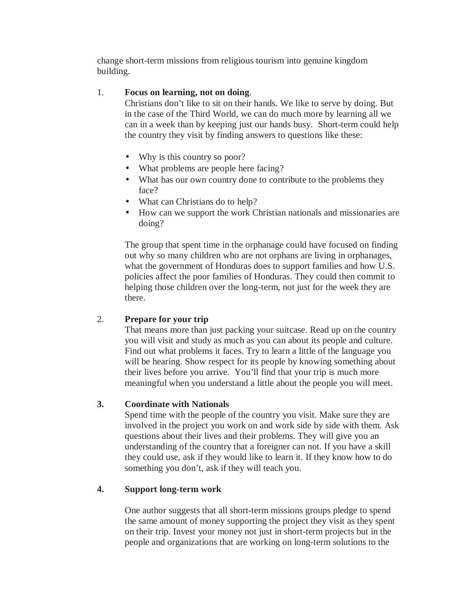change short-term missions from religious tourism into genuine kingdom building.

# 1. **Focus on learning, not on doing**.

Christians don't like to sit on their hands. We like to serve by doing. But in the case of the Third World, we can do much more by learning all we can in a week than by keeping just our hands busy. Short-term could help the country they visit by finding answers to questions like these:

- Why is this country so poor?
- What problems are people here facing?
- What has our own country done to contribute to the problems they face?
- What can Christians do to help?
- How can we support the work Christian nationals and missionaries are doing?

The group that spent time in the orphanage could have focused on finding out why so many children who are not orphans are living in orphanages, what the government of Honduras does to support families and how U.S. policies affect the poor families of Honduras. They could then commit to helping those children over the long-term, not just for the week they are there.

# 2. **Prepare for your trip**

That means more than just packing your suitcase. Read up on the country you will visit and study as much as you can about its people and culture. Find out what problems it faces. Try to learn a little of the language you will be hearing. Show respect for its people by knowing something about their lives before you arrive. You'll find that your trip is much more meaningful when you understand a little about the people you will meet.

# **3. Coordinate with Nationals**

Spend time with the people of the country you visit. Make sure they are involved in the project you work on and work side by side with them. Ask questions about their lives and their problems. They will give you an understanding of the country that a foreigner can not. If you have a skill they could use, ask if they would like to learn it. If they know how to do something you don't, ask if they will teach you.

# **4. Support long-term work**

One author suggests that all short-term missions groups pledge to spend the same amount of money supporting the project they visit as they spent on their trip. Invest your money not just in short-term projects but in the people and organizations that are working on long-term solutions to the